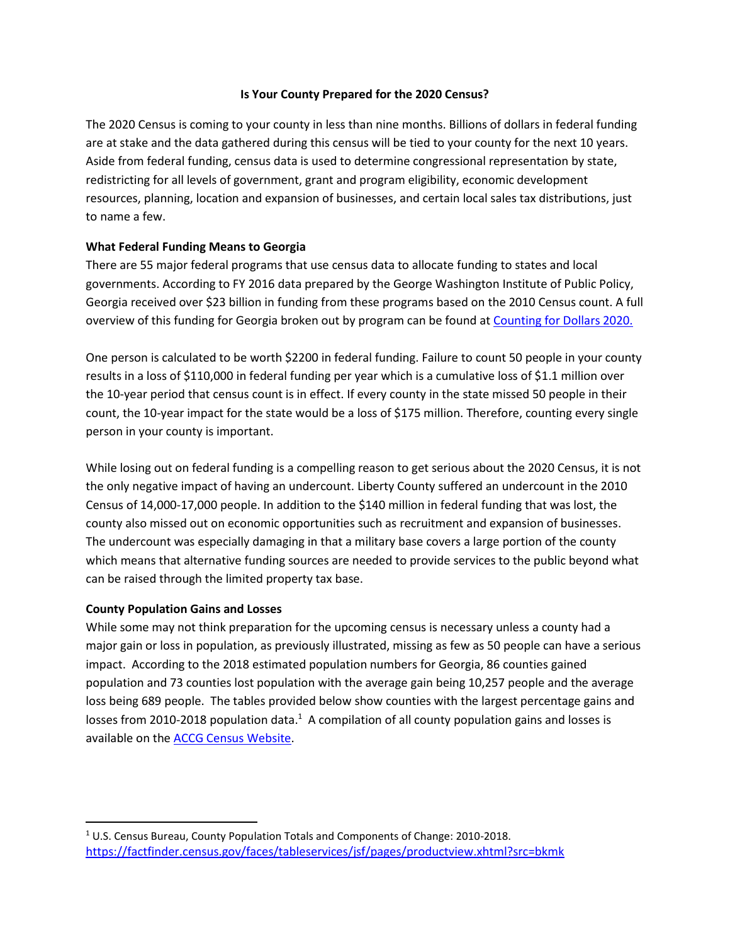## **Is Your County Prepared for the 2020 Census?**

The 2020 Census is coming to your county in less than nine months. Billions of dollars in federal funding are at stake and the data gathered during this census will be tied to your county for the next 10 years. Aside from federal funding, census data is used to determine congressional representation by state, redistricting for all levels of government, grant and program eligibility, economic development resources, planning, location and expansion of businesses, and certain local sales tax distributions, just to name a few.

# **What Federal Funding Means to Georgia**

There are 55 major federal programs that use census data to allocate funding to states and local governments. According to FY 2016 data prepared by the George Washington Institute of Public Policy, Georgia received over \$23 billion in funding from these programs based on the 2010 Census count. A full overview of this funding for Georgia broken out by program can be found at [Counting for Dollars 2020.](https://gwipp.gwu.edu/sites/g/files/zaxdzs2181/f/downloads/IPP-1819-3%20CountingforDollars_GA.pdf)

One person is calculated to be worth \$2200 in federal funding. Failure to count 50 people in your county results in a loss of \$110,000 in federal funding per year which is a cumulative loss of \$1.1 million over the 10-year period that census count is in effect. If every county in the state missed 50 people in their count, the 10-year impact for the state would be a loss of \$175 million. Therefore, counting every single person in your county is important.

While losing out on federal funding is a compelling reason to get serious about the 2020 Census, it is not the only negative impact of having an undercount. Liberty County suffered an undercount in the 2010 Census of 14,000-17,000 people. In addition to the \$140 million in federal funding that was lost, the county also missed out on economic opportunities such as recruitment and expansion of businesses. The undercount was especially damaging in that a military base covers a large portion of the county which means that alternative funding sources are needed to provide services to the public beyond what can be raised through the limited property tax base.

## **County Population Gains and Losses**

 $\overline{a}$ 

While some may not think preparation for the upcoming census is necessary unless a county had a major gain or loss in population, as previously illustrated, missing as few as 50 people can have a serious impact. According to the 2018 estimated population numbers for Georgia, 86 counties gained population and 73 counties lost population with the average gain being 10,257 people and the average loss being 689 people. The tables provided below show counties with the largest percentage gains and losses from 2010-2018 population data.<sup>1</sup> A compilation of all county population gains and losses is available on th[e ACCG Census Website.](http://www.accg.org/docs/census/Copy%20of%20County%20Population%20Changes%20from%202010-2018%20for%20Website%20080119.xlsx)

<sup>1</sup> U.S. Census Bureau, County Population Totals and Components of Change: 2010-2018. <https://factfinder.census.gov/faces/tableservices/jsf/pages/productview.xhtml?src=bkmk>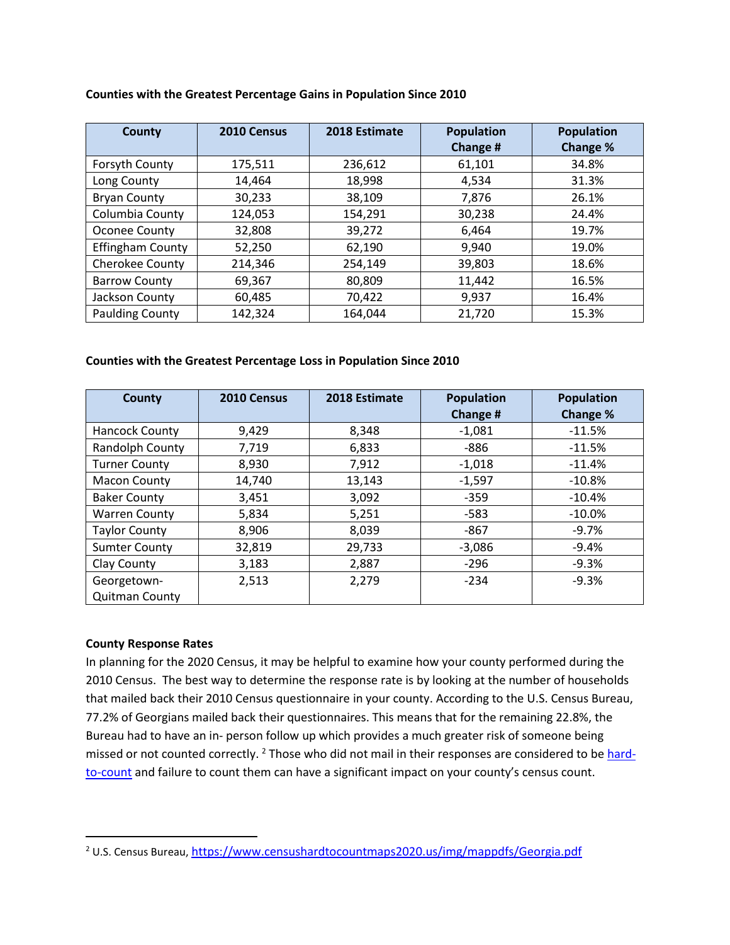| County                  | 2010 Census | 2018 Estimate | <b>Population</b> | <b>Population</b> |
|-------------------------|-------------|---------------|-------------------|-------------------|
|                         |             |               | Change #          | Change %          |
| Forsyth County          | 175,511     | 236,612       | 61,101            | 34.8%             |
| Long County             | 14,464      | 18,998        | 4,534             | 31.3%             |
| <b>Bryan County</b>     | 30,233      | 38,109        | 7,876             | 26.1%             |
| Columbia County         | 124,053     | 154,291       | 30,238            | 24.4%             |
| Oconee County           | 32,808      | 39,272        | 6,464             | 19.7%             |
| <b>Effingham County</b> | 52,250      | 62,190        | 9,940             | 19.0%             |
| Cherokee County         | 214,346     | 254,149       | 39,803            | 18.6%             |
| <b>Barrow County</b>    | 69,367      | 80,809        | 11,442            | 16.5%             |
| Jackson County          | 60,485      | 70,422        | 9,937             | 16.4%             |
| <b>Paulding County</b>  | 142,324     | 164,044       | 21,720            | 15.3%             |

#### **Counties with the Greatest Percentage Gains in Population Since 2010**

#### **Counties with the Greatest Percentage Loss in Population Since 2010**

| County                | 2010 Census | 2018 Estimate | <b>Population</b><br>Change # | <b>Population</b><br>Change % |
|-----------------------|-------------|---------------|-------------------------------|-------------------------------|
| <b>Hancock County</b> | 9,429       | 8,348         | $-1,081$                      | $-11.5%$                      |
| Randolph County       | 7,719       | 6,833         | $-886$                        | $-11.5%$                      |
| <b>Turner County</b>  | 8,930       | 7,912         | $-1,018$                      | $-11.4%$                      |
| <b>Macon County</b>   | 14,740      | 13,143        | $-1,597$                      | $-10.8%$                      |
| <b>Baker County</b>   | 3,451       | 3,092         | $-359$                        | $-10.4%$                      |
| <b>Warren County</b>  | 5,834       | 5,251         | $-583$                        | $-10.0\%$                     |
| <b>Taylor County</b>  | 8,906       | 8,039         | -867                          | $-9.7\%$                      |
| <b>Sumter County</b>  | 32,819      | 29,733        | $-3,086$                      | $-9.4%$                       |
| Clay County           | 3,183       | 2,887         | $-296$                        | $-9.3%$                       |
| Georgetown-           | 2,513       | 2,279         | $-234$                        | $-9.3%$                       |
| <b>Quitman County</b> |             |               |                               |                               |

## **County Response Rates**

 $\overline{\phantom{a}}$ 

In planning for the 2020 Census, it may be helpful to examine how your county performed during the 2010 Census. The best way to determine the response rate is by looking at the number of households that mailed back their 2010 Census questionnaire in your county. According to the U.S. Census Bureau, 77.2% of Georgians mailed back their questionnaires. This means that for the remaining 22.8%, the Bureau had to have an in- person follow up which provides a much greater risk of someone being missed or not counted correctly. <sup>2</sup> Those who did not mail in their responses are considered to be [hard](https://www.censushardtocountmaps2020.us/)[to-count](https://www.censushardtocountmaps2020.us/) and failure to count them can have a significant impact on your county's census count.

<sup>&</sup>lt;sup>2</sup> U.S. Census Bureau, <https://www.censushardtocountmaps2020.us/img/mappdfs/Georgia.pdf>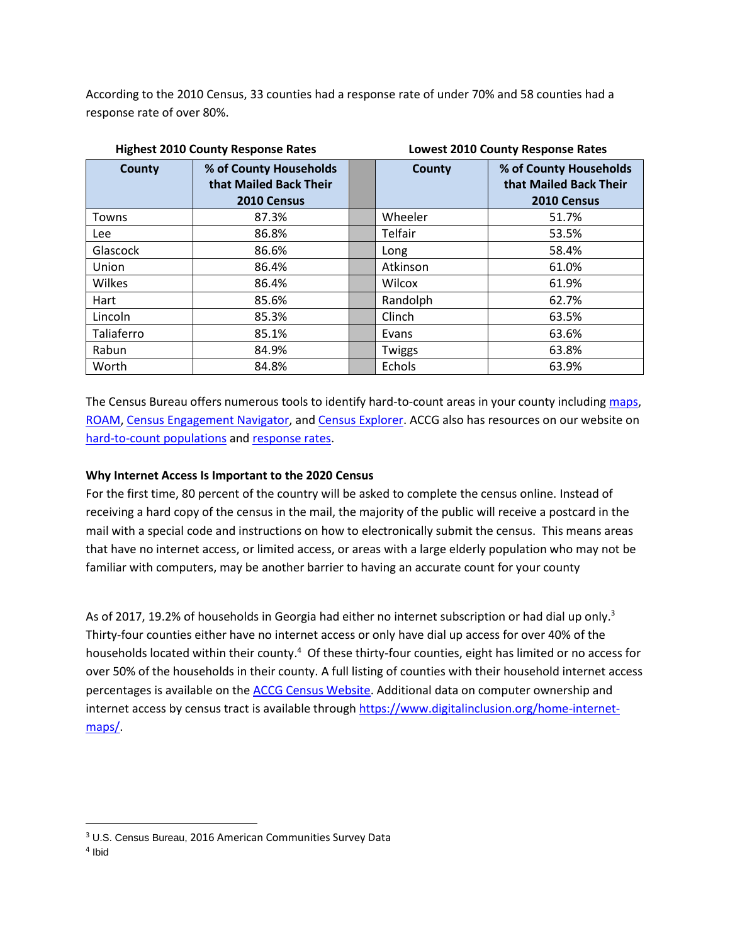According to the 2010 Census, 33 counties had a response rate of under 70% and 58 counties had a response rate of over 80%.

| <b>Highest 2010 County Response Rates</b> |                                                                 | <b>Lowest 2010 County Response Rates</b> |                                                                 |  |
|-------------------------------------------|-----------------------------------------------------------------|------------------------------------------|-----------------------------------------------------------------|--|
| County                                    | % of County Households<br>that Mailed Back Their<br>2010 Census | <b>County</b>                            | % of County Households<br>that Mailed Back Their<br>2010 Census |  |
| Towns                                     | 87.3%                                                           | Wheeler                                  | 51.7%                                                           |  |
| <b>Lee</b>                                | 86.8%                                                           | Telfair                                  | 53.5%                                                           |  |
| Glascock                                  | 86.6%                                                           | Long                                     | 58.4%                                                           |  |
| Union                                     | 86.4%                                                           | Atkinson                                 | 61.0%                                                           |  |
| Wilkes                                    | 86.4%                                                           | Wilcox                                   | 61.9%                                                           |  |
| Hart                                      | 85.6%                                                           | Randolph                                 | 62.7%                                                           |  |
| Lincoln                                   | 85.3%                                                           | Clinch                                   | 63.5%                                                           |  |
| Taliaferro                                | 85.1%                                                           | Evans                                    | 63.6%                                                           |  |
| Rabun                                     | 84.9%                                                           | Twiggs                                   | 63.8%                                                           |  |
| Worth                                     | 84.8%                                                           | Echols                                   | 63.9%                                                           |  |

The Census Bureau offers numerous tools to identify hard-to-count areas in your county including [maps,](https://www.censushardtocountmaps2020.us/) [ROAM,](https://www.census.gov/roam) [Census Engagement Navigator,](https://www.census.gov/library/visualizations/interactive/engagement.html) and [Census Explorer.](http://census.socialexplorer.com/2010ratemap/) ACCG also has resources on our website on [hard-to-count populations](https://www.nxtbook.com/naylor/ACGQ/ACGQ0119/index.php#/24) and [response rates.](http://www.accg.org/docs/census/Census%20Participation%20and%20Internet%20Access%20Information%20for%20Website%20080119.xlsx)

# **Why Internet Access Is Important to the 2020 Census**

For the first time, 80 percent of the country will be asked to complete the census online. Instead of receiving a hard copy of the census in the mail, the majority of the public will receive a postcard in the mail with a special code and instructions on how to electronically submit the census. This means areas that have no internet access, or limited access, or areas with a large elderly population who may not be familiar with computers, may be another barrier to having an accurate count for your county

As of 2017, 19.2% of households in Georgia had either no internet subscription or had dial up only.<sup>3</sup> Thirty-four counties either have no internet access or only have dial up access for over 40% of the households located within their county.<sup>4</sup> Of these thirty-four counties, eight has limited or no access for over 50% of the households in their county. A full listing of counties with their household internet access percentages is available on the [ACCG Census Website.](http://www.accg.org/docs/census/Census%20Participation%20and%20Internet%20Access%20Information%20for%20Website%20080119.xlsx) Additional data on computer ownership and internet access by census tract is available through [https://www.digitalinclusion.org/home-internet](https://www.digitalinclusion.org/home-internet-maps/)[maps/.](https://www.digitalinclusion.org/home-internet-maps/)

 $\overline{\phantom{a}}$ 

<sup>3</sup> U.S. Census Bureau, 2016 American Communities Survey Data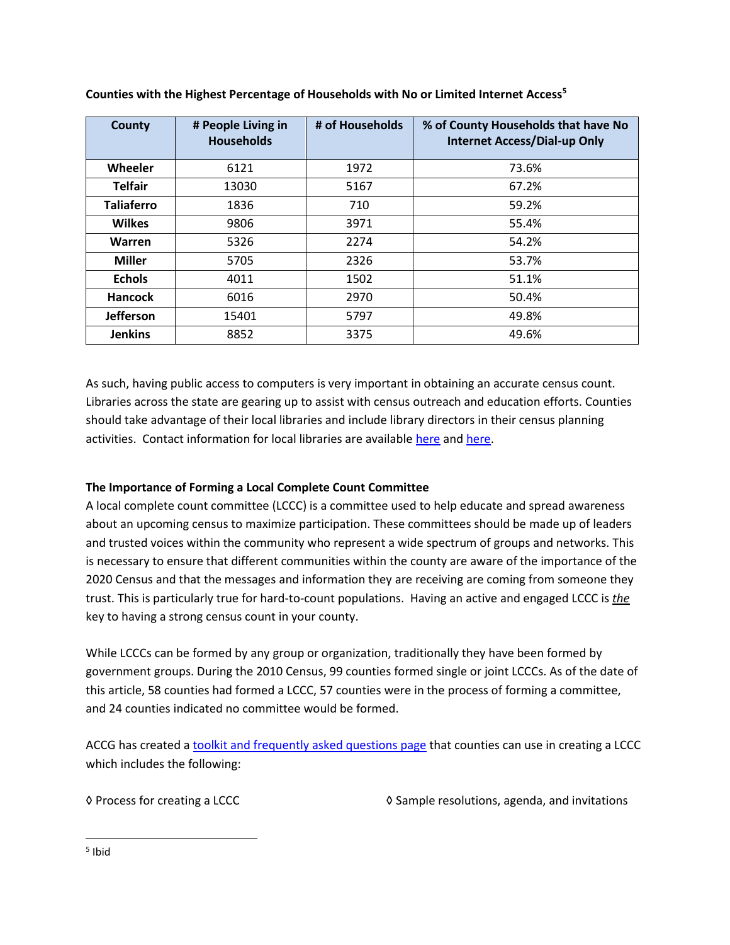| <b>County</b>     | # People Living in<br><b>Households</b> | # of Households | % of County Households that have No<br><b>Internet Access/Dial-up Only</b> |
|-------------------|-----------------------------------------|-----------------|----------------------------------------------------------------------------|
| Wheeler           | 6121                                    | 1972            | 73.6%                                                                      |
| <b>Telfair</b>    | 13030                                   | 5167            | 67.2%                                                                      |
| <b>Taliaferro</b> | 1836                                    | 710             | 59.2%                                                                      |
| <b>Wilkes</b>     | 9806                                    | 3971            | 55.4%                                                                      |
| Warren            | 5326                                    | 2274            | 54.2%                                                                      |
| <b>Miller</b>     | 5705                                    | 2326            | 53.7%                                                                      |
| <b>Echols</b>     | 4011                                    | 1502            | 51.1%                                                                      |
| <b>Hancock</b>    | 6016                                    | 2970            | 50.4%                                                                      |
| <b>Jefferson</b>  | 15401                                   | 5797            | 49.8%                                                                      |
| <b>Jenkins</b>    | 8852                                    | 3375            | 49.6%                                                                      |

**Counties with the Highest Percentage of Households with No or Limited Internet Access<sup>5</sup>**

As such, having public access to computers is very important in obtaining an accurate census count. Libraries across the state are gearing up to assist with census outreach and education efforts. Counties should take advantage of their local libraries and include library directors in their census planning activities. Contact information for local libraries are availabl[e here](https://georgialibraries.org/publiclibrarydirectors/) and [here.](https://georgialibraries.org/allpubliclibraryfacilities/)

# **The Importance of Forming a Local Complete Count Committee**

A local complete count committee (LCCC) is a committee used to help educate and spread awareness about an upcoming census to maximize participation. These committees should be made up of leaders and trusted voices within the community who represent a wide spectrum of groups and networks. This is necessary to ensure that different communities within the county are aware of the importance of the 2020 Census and that the messages and information they are receiving are coming from someone they trust. This is particularly true for hard-to-count populations. Having an active and engaged LCCC is *the* key to having a strong census count in your county.

While LCCCs can be formed by any group or organization, traditionally they have been formed by government groups. During the 2010 Census, 99 counties formed single or joint LCCCs. As of the date of this article, 58 counties had formed a LCCC, 57 counties were in the process of forming a committee, and 24 counties indicated no committee would be formed.

ACCG has created a [toolkit and frequently asked questions page](http://www.accg.org/local_complete_count.php) that counties can use in creating a LCCC which includes the following:

◊ Process for creating a LCCC

◊ Sample resolutions, agenda, and invitations

 $\overline{\phantom{a}}$